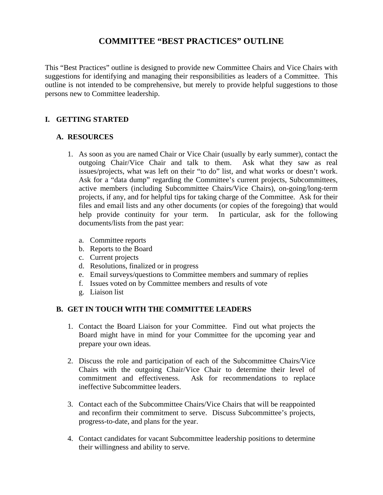# **COMMITTEE "BEST PRACTICES" OUTLINE**

This "Best Practices" outline is designed to provide new Committee Chairs and Vice Chairs with suggestions for identifying and managing their responsibilities as leaders of a Committee. This outline is not intended to be comprehensive, but merely to provide helpful suggestions to those persons new to Committee leadership.

# **I. GETTING STARTED**

### **A. RESOURCES**

- 1. As soon as you are named Chair or Vice Chair (usually by early summer), contact the outgoing Chair/Vice Chair and talk to them. Ask what they saw as real issues/projects, what was left on their "to do" list, and what works or doesn't work. Ask for a "data dump" regarding the Committee's current projects, Subcommittees, active members (including Subcommittee Chairs/Vice Chairs), on-going/long-term projects, if any, and for helpful tips for taking charge of the Committee. Ask for their files and email lists and any other documents (or copies of the foregoing) that would help provide continuity for your term. In particular, ask for the following documents/lists from the past year:
	- a. Committee reports
	- b. Reports to the Board
	- c. Current projects
	- d. Resolutions, finalized or in progress
	- e. Email surveys/questions to Committee members and summary of replies
	- f. Issues voted on by Committee members and results of vote
	- g. Liaison list

# **B. GET IN TOUCH WITH THE COMMITTEE LEADERS**

- 1. Contact the Board Liaison for your Committee. Find out what projects the Board might have in mind for your Committee for the upcoming year and prepare your own ideas.
- 2. Discuss the role and participation of each of the Subcommittee Chairs/Vice Chairs with the outgoing Chair/Vice Chair to determine their level of commitment and effectiveness. Ask for recommendations to replace ineffective Subcommittee leaders.
- 3. Contact each of the Subcommittee Chairs/Vice Chairs that will be reappointed and reconfirm their commitment to serve. Discuss Subcommittee's projects, progress-to-date, and plans for the year.
- 4. Contact candidates for vacant Subcommittee leadership positions to determine their willingness and ability to serve.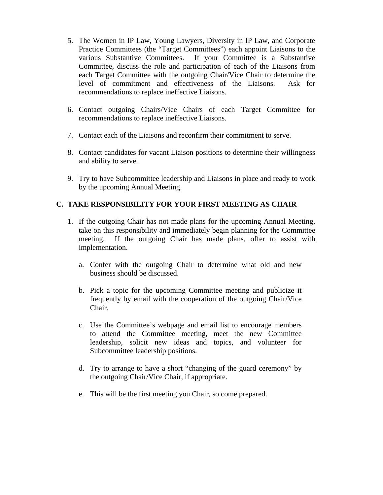- 5. The Women in IP Law, Young Lawyers, Diversity in IP Law, and Corporate Practice Committees (the "Target Committees") each appoint Liaisons to the various Substantive Committees. If your Committee is a Substantive Committee, discuss the role and participation of each of the Liaisons from each Target Committee with the outgoing Chair/Vice Chair to determine the level of commitment and effectiveness of the Liaisons. Ask for recommendations to replace ineffective Liaisons.
- 6. Contact outgoing Chairs/Vice Chairs of each Target Committee for recommendations to replace ineffective Liaisons.
- 7. Contact each of the Liaisons and reconfirm their commitment to serve.
- 8. Contact candidates for vacant Liaison positions to determine their willingness and ability to serve.
- 9. Try to have Subcommittee leadership and Liaisons in place and ready to work by the upcoming Annual Meeting.

### **C. TAKE RESPONSIBILITY FOR YOUR FIRST MEETING AS CHAIR**

- 1. If the outgoing Chair has not made plans for the upcoming Annual Meeting, take on this responsibility and immediately begin planning for the Committee meeting. If the outgoing Chair has made plans, offer to assist with implementation.
	- a. Confer with the outgoing Chair to determine what old and new business should be discussed.
	- b. Pick a topic for the upcoming Committee meeting and publicize it frequently by email with the cooperation of the outgoing Chair/Vice Chair.
	- c. Use the Committee's webpage and email list to encourage members to attend the Committee meeting, meet the new Committee leadership, solicit new ideas and topics, and volunteer for Subcommittee leadership positions.
	- d. Try to arrange to have a short "changing of the guard ceremony" by the outgoing Chair/Vice Chair, if appropriate.
	- e. This will be the first meeting you Chair, so come prepared.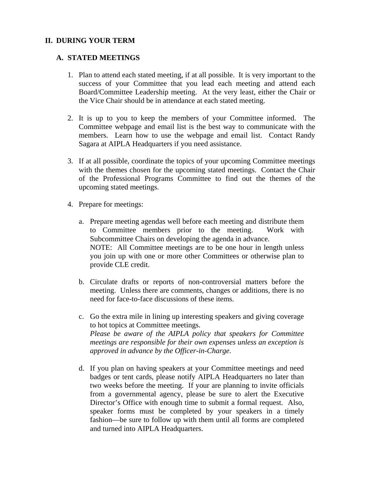#### **II. DURING YOUR TERM**

#### **A. STATED MEETINGS**

- 1. Plan to attend each stated meeting, if at all possible. It is very important to the success of your Committee that you lead each meeting and attend each Board/Committee Leadership meeting. At the very least, either the Chair or the Vice Chair should be in attendance at each stated meeting.
- 2. It is up to you to keep the members of your Committee informed. The Committee webpage and email list is the best way to communicate with the members. Learn how to use the webpage and email list. Contact Randy Sagara at AIPLA Headquarters if you need assistance.
- 3. If at all possible, coordinate the topics of your upcoming Committee meetings with the themes chosen for the upcoming stated meetings. Contact the Chair of the Professional Programs Committee to find out the themes of the upcoming stated meetings.
- 4. Prepare for meetings:
	- a. Prepare meeting agendas well before each meeting and distribute them to Committee members prior to the meeting. Work with Subcommittee Chairs on developing the agenda in advance. NOTE: All Committee meetings are to be one hour in length unless you join up with one or more other Committees or otherwise plan to provide CLE credit.
	- b. Circulate drafts or reports of non-controversial matters before the meeting. Unless there are comments, changes or additions, there is no need for face-to-face discussions of these items.
	- c. Go the extra mile in lining up interesting speakers and giving coverage to hot topics at Committee meetings. *Please be aware of the AIPLA policy that speakers for Committee meetings are responsible for their own expenses unless an exception is approved in advance by the Officer-in-Charge.*
	- d. If you plan on having speakers at your Committee meetings and need badges or tent cards, please notify AIPLA Headquarters no later than two weeks before the meeting. If your are planning to invite officials from a governmental agency, please be sure to alert the Executive Director's Office with enough time to submit a formal request. Also, speaker forms must be completed by your speakers in a timely fashion—be sure to follow up with them until all forms are completed and turned into AIPLA Headquarters.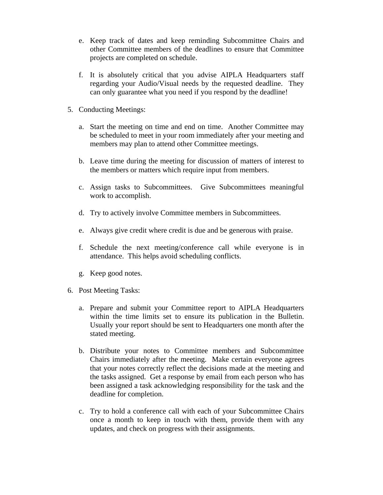- e. Keep track of dates and keep reminding Subcommittee Chairs and other Committee members of the deadlines to ensure that Committee projects are completed on schedule.
- f. It is absolutely critical that you advise AIPLA Headquarters staff regarding your Audio/Visual needs by the requested deadline. They can only guarantee what you need if you respond by the deadline!
- 5. Conducting Meetings:
	- a. Start the meeting on time and end on time. Another Committee may be scheduled to meet in your room immediately after your meeting and members may plan to attend other Committee meetings.
	- b. Leave time during the meeting for discussion of matters of interest to the members or matters which require input from members.
	- c. Assign tasks to Subcommittees. Give Subcommittees meaningful work to accomplish.
	- d. Try to actively involve Committee members in Subcommittees.
	- e. Always give credit where credit is due and be generous with praise.
	- f. Schedule the next meeting/conference call while everyone is in attendance. This helps avoid scheduling conflicts.
	- g. Keep good notes.
- 6. Post Meeting Tasks:
	- a. Prepare and submit your Committee report to AIPLA Headquarters within the time limits set to ensure its publication in the Bulletin. Usually your report should be sent to Headquarters one month after the stated meeting.
	- b. Distribute your notes to Committee members and Subcommittee Chairs immediately after the meeting. Make certain everyone agrees that your notes correctly reflect the decisions made at the meeting and the tasks assigned. Get a response by email from each person who has been assigned a task acknowledging responsibility for the task and the deadline for completion.
	- c. Try to hold a conference call with each of your Subcommittee Chairs once a month to keep in touch with them, provide them with any updates, and check on progress with their assignments.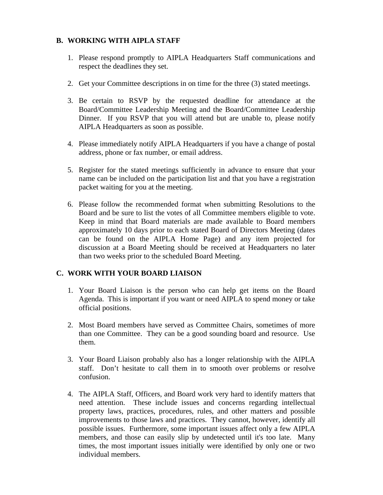### **B. WORKING WITH AIPLA STAFF**

- 1. Please respond promptly to AIPLA Headquarters Staff communications and respect the deadlines they set.
- 2. Get your Committee descriptions in on time for the three (3) stated meetings.
- 3. Be certain to RSVP by the requested deadline for attendance at the Board/Committee Leadership Meeting and the Board/Committee Leadership Dinner. If you RSVP that you will attend but are unable to, please notify AIPLA Headquarters as soon as possible.
- 4. Please immediately notify AIPLA Headquarters if you have a change of postal address, phone or fax number, or email address.
- 5. Register for the stated meetings sufficiently in advance to ensure that your name can be included on the participation list and that you have a registration packet waiting for you at the meeting.
- 6. Please follow the recommended format when submitting Resolutions to the Board and be sure to list the votes of all Committee members eligible to vote. Keep in mind that Board materials are made available to Board members approximately 10 days prior to each stated Board of Directors Meeting (dates can be found on the AIPLA Home Page) and any item projected for discussion at a Board Meeting should be received at Headquarters no later than two weeks prior to the scheduled Board Meeting.

### **C. WORK WITH YOUR BOARD LIAISON**

- 1. Your Board Liaison is the person who can help get items on the Board Agenda. This is important if you want or need AIPLA to spend money or take official positions.
- 2. Most Board members have served as Committee Chairs, sometimes of more than one Committee. They can be a good sounding board and resource. Use them.
- 3. Your Board Liaison probably also has a longer relationship with the AIPLA staff. Don't hesitate to call them in to smooth over problems or resolve confusion.
- 4. The AIPLA Staff, Officers, and Board work very hard to identify matters that need attention. These include issues and concerns regarding intellectual property laws, practices, procedures, rules, and other matters and possible improvements to those laws and practices. They cannot, however, identify all possible issues. Furthermore, some important issues affect only a few AIPLA members, and those can easily slip by undetected until it's too late. Many times, the most important issues initially were identified by only one or two individual members.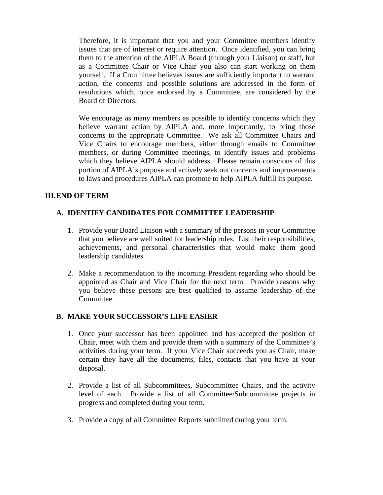Therefore, it is important that you and your Committee members identify issues that are of interest or require attention. Once identified, you can bring them to the attention of the AIPLA Board (through your Liaison) or staff, but as a Committee Chair or Vice Chair you also can start working on them yourself. If a Committee believes issues are sufficiently important to warrant action, the concerns and possible solutions are addressed in the form of resolutions which, once endorsed by a Committee, are considered by the Board of Directors.

 We encourage as many members as possible to identify concerns which they believe warrant action by AIPLA and, more importantly, to bring those concerns to the appropriate Committee. We ask all Committee Chairs and Vice Chairs to encourage members, either through emails to Committee members, or during Committee meetings, to identify issues and problems which they believe AIPLA should address. Please remain conscious of this portion of AIPLA's purpose and actively seek out concerns and improvements to laws and procedures AIPLA can promote to help AIPLA fulfill its purpose.

### **III. END OF TERM**

### **A. IDENTIFY CANDIDATES FOR COMMITTEE LEADERSHIP**

- 1. Provide your Board Liaison with a summary of the persons in your Committee that you believe are well suited for leadership roles. List their responsibilities, achievements, and personal characteristics that would make them good leadership candidates.
- 2. Make a recommendation to the incoming President regarding who should be appointed as Chair and Vice Chair for the next term. Provide reasons why you believe these persons are best qualified to assume leadership of the Committee.

### **B. MAKE YOUR SUCCESSOR'S LIFE EASIER**

- 1. Once your successor has been appointed and has accepted the position of Chair, meet with them and provide them with a summary of the Committee's activities during your term. If your Vice Chair succeeds you as Chair, make certain they have all the documents, files, contacts that you have at your disposal.
- 2. Provide a list of all Subcommittees, Subcommittee Chairs, and the activity level of each. Provide a list of all Committee/Subcommittee projects in progress and completed during your term.
- 3. Provide a copy of all Committee Reports submitted during your term.